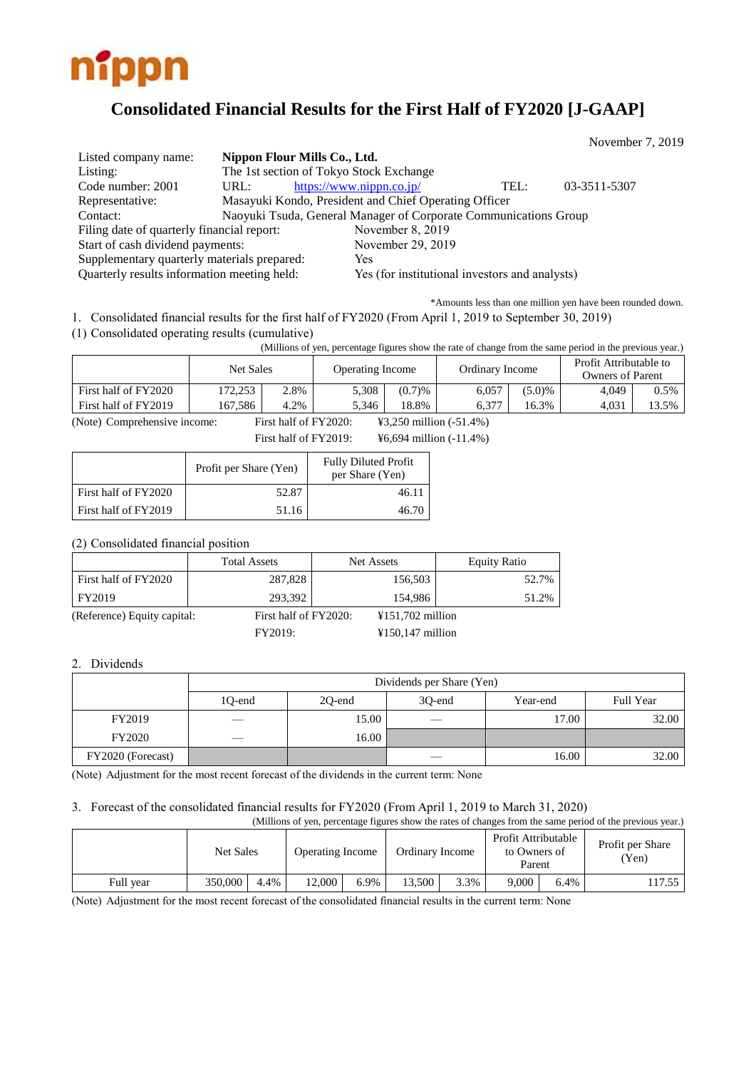

# **Consolidated Financial Results for the First Half of FY2020 [J-GAAP]**

November 7, 2019

| Listed company name:                        | Nippon Flour Mills Co., Ltd.                                     |                                                       |      |              |
|---------------------------------------------|------------------------------------------------------------------|-------------------------------------------------------|------|--------------|
| Listing:                                    | The 1st section of Tokyo Stock Exchange                          |                                                       |      |              |
| Code number: 2001                           | URL:                                                             | https://www.nippn.co.jp/                              | TEL: | 03-3511-5307 |
| Representative:                             |                                                                  | Masayuki Kondo, President and Chief Operating Officer |      |              |
| Contact:                                    | Naoyuki Tsuda, General Manager of Corporate Communications Group |                                                       |      |              |
| Filing date of quarterly financial report:  |                                                                  | November 8, 2019                                      |      |              |
| Start of cash dividend payments:            |                                                                  | November 29, 2019                                     |      |              |
| Supplementary quarterly materials prepared: |                                                                  | Yes                                                   |      |              |
| Quarterly results information meeting held: |                                                                  | Yes (for institutional investors and analysts)        |      |              |

\*Amounts less than one million yen have been rounded down.

1. Consolidated financial results for the first half of FY2020 (From April 1, 2019 to September 30, 2019)

(1) Consolidated operating results (cumulative)

(Millions of yen, percentage figures show the rate of change from the same period in the previous year.)

|                      | Net Sales |      | Operating Income |        | Ordinary Income |        | Profit Attributable to<br><b>Owners of Parent</b> |         |
|----------------------|-----------|------|------------------|--------|-----------------|--------|---------------------------------------------------|---------|
| First half of FY2020 | 172,253   | 2.8% | 5,308            | (0.7)% | 6,057           | (5.0)% | 4.049                                             | $0.5\%$ |
| First half of FY2019 | 167.586   | 4.2% | 5.346            | 18.8%  | $6.37^{-}$      | 16.3%  | 4.031                                             | 13.5%   |

(Note) Comprehensive income: First half of FY2020: ¥3,250 million (-51.4%)

First half of FY2019: ¥6,694 million (-11.4%)

|                      | Profit per Share (Yen) | <b>Fully Diluted Profit</b><br>per Share (Yen) |
|----------------------|------------------------|------------------------------------------------|
| First half of FY2020 | 52.87                  | 46.11                                          |
| First half of FY2019 | 51.16                  | 46.70                                          |

(2) Consolidated financial position

|                             | <b>Total Assets</b>   | Net Assets         | <b>Equity Ratio</b> |
|-----------------------------|-----------------------|--------------------|---------------------|
| First half of FY2020        | 287,828               | 156,503            | 52.7%               |
| FY2019                      | 293.392               | 154.986            | 51.2%               |
| (Reference) Equity capital: | First half of FY2020: | ¥151,702 million   |                     |
|                             | FY2019:               | $¥150,147$ million |                     |

#### 2. Dividends

|                   | Dividends per Share (Yen) |        |        |          |           |  |  |  |
|-------------------|---------------------------|--------|--------|----------|-----------|--|--|--|
|                   | 10-end                    | 20-end | 30-end | Year-end | Full Year |  |  |  |
| FY2019            | __                        | 15.00  | $\sim$ | 17.00    | 32.00     |  |  |  |
| FY2020            | __                        | 16.00  |        |          |           |  |  |  |
| FY2020 (Forecast) |                           |        |        | 16.00    | 32.00     |  |  |  |

(Note) Adjustment for the most recent forecast of the dividends in the current term: None

#### 3. Forecast of the consolidated financial results for FY2020 (From April 1, 2019 to March 31, 2020)

| (Millions of yen, percentage figures show the rates of changes from the same period of the previous year.) |                  |      |                         |      |                 |      |                                               |      |                           |
|------------------------------------------------------------------------------------------------------------|------------------|------|-------------------------|------|-----------------|------|-----------------------------------------------|------|---------------------------|
|                                                                                                            | <b>Net Sales</b> |      | <b>Operating Income</b> |      | Ordinary Income |      | Profit Attributable<br>to Owners of<br>Parent |      | Profit per Share<br>(Yen) |
| Full year                                                                                                  | 350,000          | 4.4% | 12.000                  | 6.9% | 13.500          | 3.3% | 9.000                                         | 6.4% | 17.55                     |

(Note) Adjustment for the most recent forecast of the consolidated financial results in the current term: None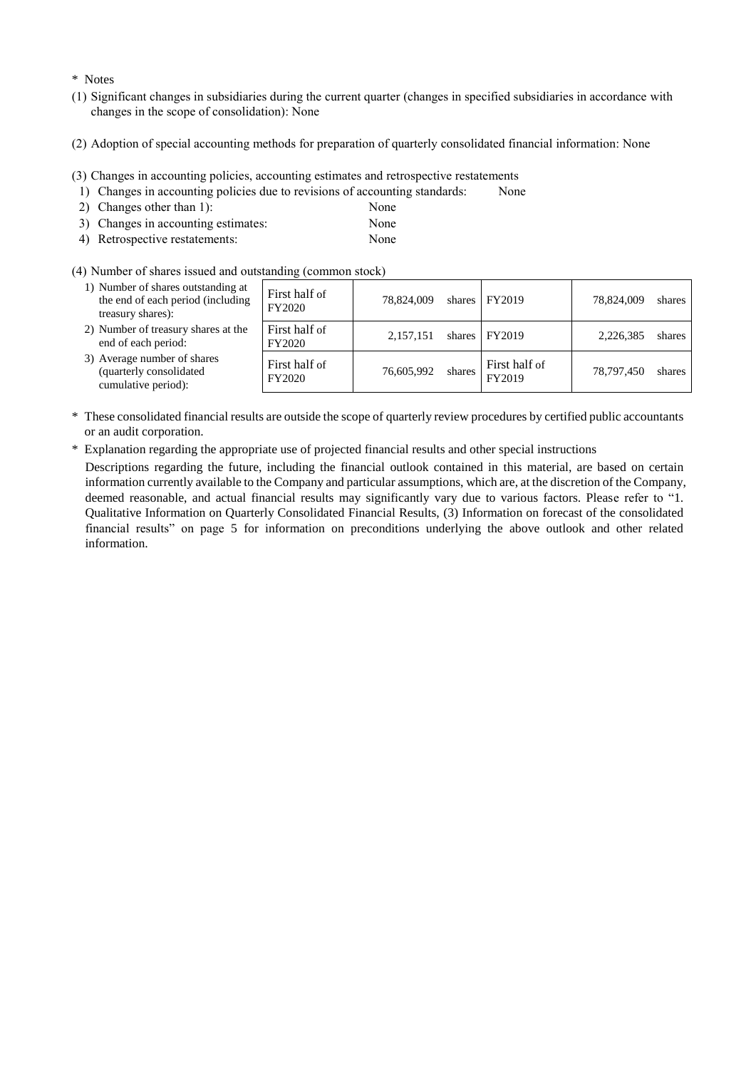#### \* Notes

- (1) Significant changes in subsidiaries during the current quarter (changes in specified subsidiaries in accordance with changes in the scope of consolidation): None
- (2) Adoption of special accounting methods for preparation of quarterly consolidated financial information: None
- (3) Changes in accounting policies, accounting estimates and retrospective restatements
- 1) Changes in accounting policies due to revisions of accounting standards: None
- 2) Changes other than 1): None
- 3) Changes in accounting estimates: None
- 4) Retrospective restatements: None
- 
- (4) Number of shares issued and outstanding (common stock)

| 1) Number of shares outstanding at<br>the end of each period (including<br>treasury shares): | First half of<br>FY2020 | 78.824,009 | shares | FY2019                  | 78,824,009 | shares |
|----------------------------------------------------------------------------------------------|-------------------------|------------|--------|-------------------------|------------|--------|
| 2) Number of treasury shares at the<br>end of each period:                                   | First half of<br>FY2020 | 2,157,151  | shares | FY2019                  | 2.226.385  | shares |
| 3) Average number of shares<br>(quarterly consolidated<br>cumulative period):                | First half of<br>FY2020 | 76,605,992 | shares | First half of<br>FY2019 | 78.797.450 | shares |

- \* These consolidated financial results are outside the scope of quarterly review procedures by certified public accountants or an audit corporation.
- \* Explanation regarding the appropriate use of projected financial results and other special instructions

Descriptions regarding the future, including the financial outlook contained in this material, are based on certain information currently available to the Company and particular assumptions, which are, at the discretion of the Company, deemed reasonable, and actual financial results may significantly vary due to various factors. Please refer to "1. Qualitative Information on Quarterly Consolidated Financial Results, (3) Information on forecast of the consolidated financial results" on page 5 for information on preconditions underlying the above outlook and other related information.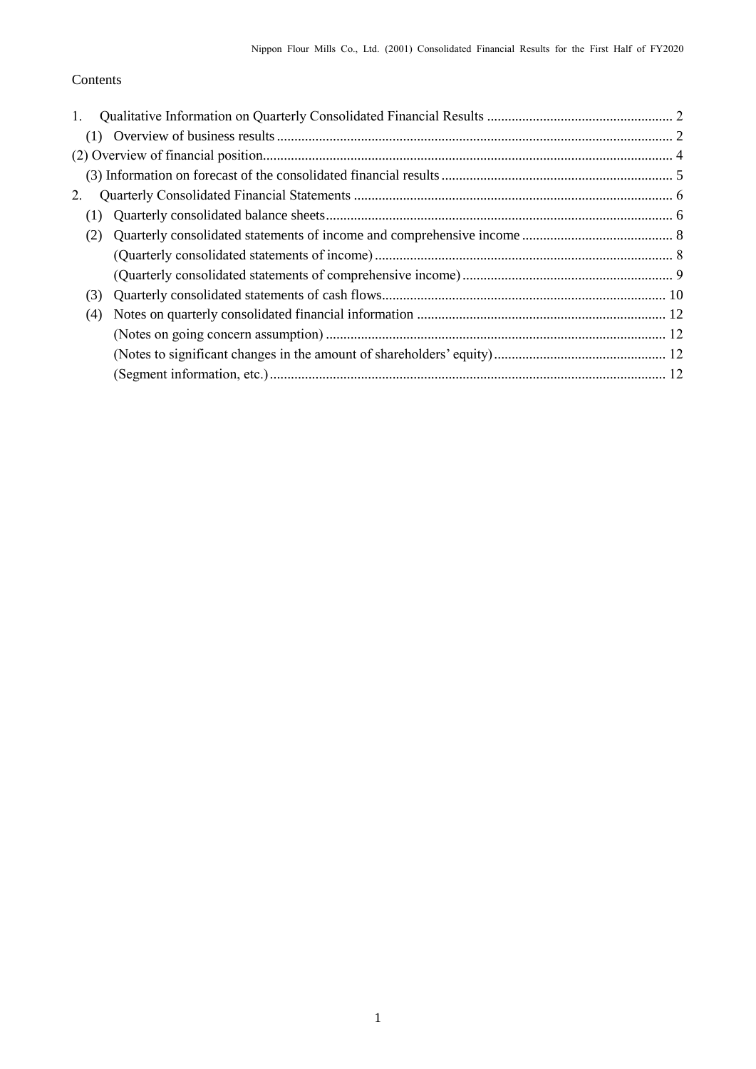## Contents

| 1.  |  |
|-----|--|
| (1) |  |
|     |  |
|     |  |
| 2.  |  |
| (1) |  |
| (2) |  |
|     |  |
|     |  |
| (3) |  |
| (4) |  |
|     |  |
|     |  |
|     |  |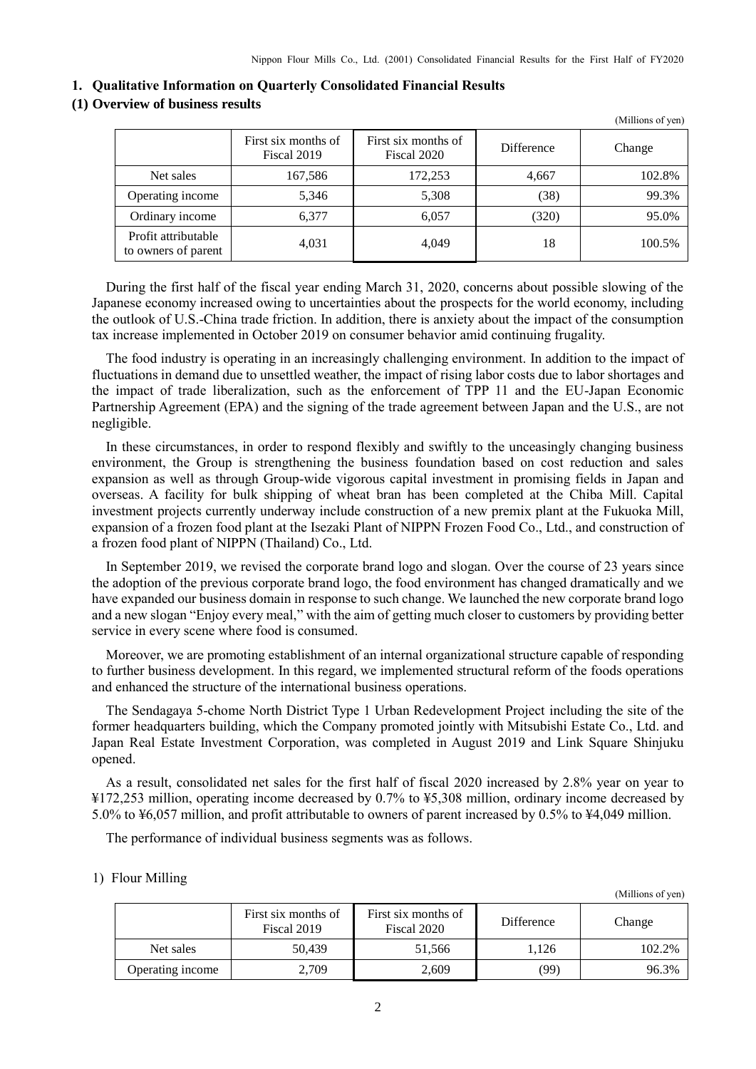<span id="page-3-0"></span>

|  |  |  |  |  | 1. Qualitative Information on Quarterly Consolidated Financial Results |
|--|--|--|--|--|------------------------------------------------------------------------|
|--|--|--|--|--|------------------------------------------------------------------------|

#### <span id="page-3-1"></span>**(1) Overview of business results**

|                                            |                                    |                                    |                   | (Millions of yen) |
|--------------------------------------------|------------------------------------|------------------------------------|-------------------|-------------------|
|                                            | First six months of<br>Fiscal 2019 | First six months of<br>Fiscal 2020 | <b>Difference</b> | Change            |
| Net sales                                  | 167,586                            | 172,253                            | 4,667             | 102.8%            |
| Operating income                           | 5,346                              | 5,308                              | (38)              | 99.3%             |
| Ordinary income                            | 6,377                              | 6,057                              | (320)             | 95.0%             |
| Profit attributable<br>to owners of parent | 4,031                              | 4,049                              | 18                | 100.5%            |

During the first half of the fiscal year ending March 31, 2020, concerns about possible slowing of the Japanese economy increased owing to uncertainties about the prospects for the world economy, including the outlook of U.S.-China trade friction. In addition, there is anxiety about the impact of the consumption tax increase implemented in October 2019 on consumer behavior amid continuing frugality.

The food industry is operating in an increasingly challenging environment. In addition to the impact of fluctuations in demand due to unsettled weather, the impact of rising labor costs due to labor shortages and the impact of trade liberalization, such as the enforcement of TPP 11 and the EU-Japan Economic Partnership Agreement (EPA) and the signing of the trade agreement between Japan and the U.S., are not negligible.

In these circumstances, in order to respond flexibly and swiftly to the unceasingly changing business environment, the Group is strengthening the business foundation based on cost reduction and sales expansion as well as through Group-wide vigorous capital investment in promising fields in Japan and overseas. A facility for bulk shipping of wheat bran has been completed at the Chiba Mill. Capital investment projects currently underway include construction of a new premix plant at the Fukuoka Mill, expansion of a frozen food plant at the Isezaki Plant of NIPPN Frozen Food Co., Ltd., and construction of a frozen food plant of NIPPN (Thailand) Co., Ltd.

In September 2019, we revised the corporate brand logo and slogan. Over the course of 23 years since the adoption of the previous corporate brand logo, the food environment has changed dramatically and we have expanded our business domain in response to such change. We launched the new corporate brand logo and a new slogan "Enjoy every meal," with the aim of getting much closer to customers by providing better service in every scene where food is consumed.

Moreover, we are promoting establishment of an internal organizational structure capable of responding to further business development. In this regard, we implemented structural reform of the foods operations and enhanced the structure of the international business operations.

The Sendagaya 5-chome North District Type 1 Urban Redevelopment Project including the site of the former headquarters building, which the Company promoted jointly with Mitsubishi Estate Co., Ltd. and Japan Real Estate Investment Corporation, was completed in August 2019 and Link Square Shinjuku opened.

As a result, consolidated net sales for the first half of fiscal 2020 increased by 2.8% year on year to ¥172,253 million, operating income decreased by 0.7% to ¥5,308 million, ordinary income decreased by 5.0% to ¥6,057 million, and profit attributable to owners of parent increased by 0.5% to ¥4,049 million.

The performance of individual business segments was as follows.

#### 1) Flour Milling

|                  | First six months of<br>Fiscal 2019 | First six months of<br>Fiscal 2020 | Difference | Change |
|------------------|------------------------------------|------------------------------------|------------|--------|
| Net sales        | 50.439                             | 51.566                             | 1.126      | 102.2% |
| Operating income | 2,709                              | 2,609                              | (99)       | 96.3%  |

(Millions of yen)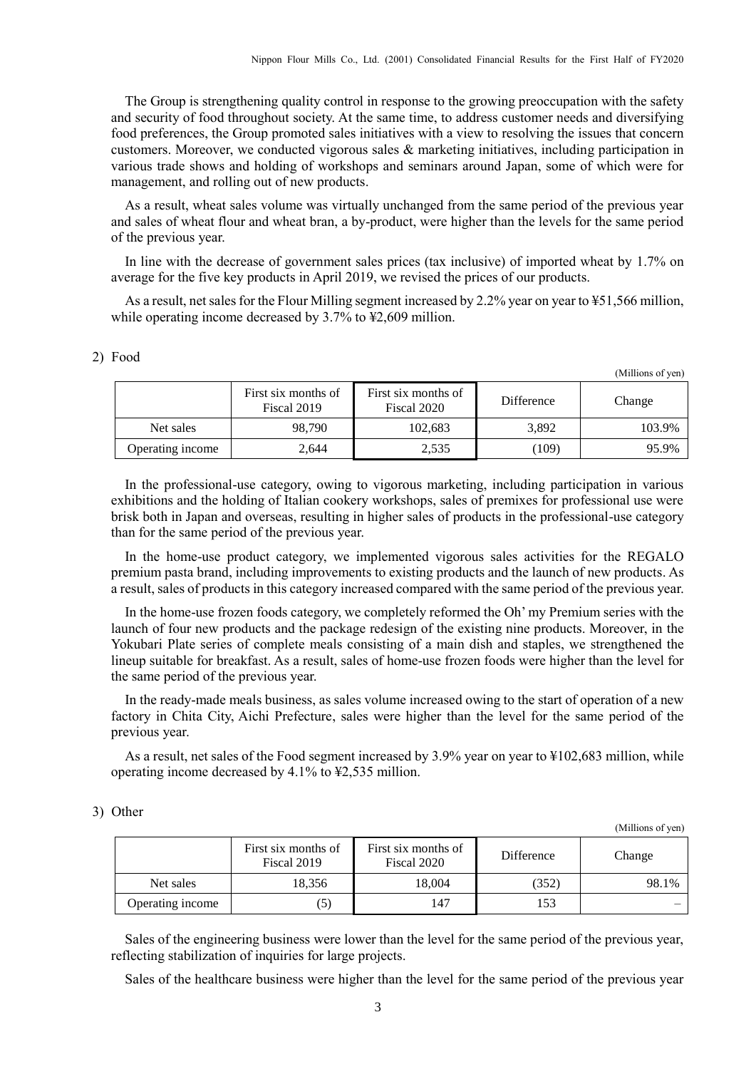The Group is strengthening quality control in response to the growing preoccupation with the safety and security of food throughout society. At the same time, to address customer needs and diversifying food preferences, the Group promoted sales initiatives with a view to resolving the issues that concern customers. Moreover, we conducted vigorous sales & marketing initiatives, including participation in various trade shows and holding of workshops and seminars around Japan, some of which were for management, and rolling out of new products.

As a result, wheat sales volume was virtually unchanged from the same period of the previous year and sales of wheat flour and wheat bran, a by-product, were higher than the levels for the same period of the previous year.

In line with the decrease of government sales prices (tax inclusive) of imported wheat by 1.7% on average for the five key products in April 2019, we revised the prices of our products.

As a result, net sales for the Flour Milling segment increased by 2.2% year on year to ¥51,566 million, while operating income decreased by 3.7% to ¥2,609 million.

|                  | First six months of<br>Fiscal 2019 | First six months of<br>Fiscal 2020 | Difference | Change |
|------------------|------------------------------------|------------------------------------|------------|--------|
| Net sales        | 98.790                             | 102,683                            | 3,892      | 103.9% |
| Operating income | 2,644                              | 2,535                              | (109)      | 95.9%  |

In the professional-use category, owing to vigorous marketing, including participation in various exhibitions and the holding of Italian cookery workshops, sales of premixes for professional use were brisk both in Japan and overseas, resulting in higher sales of products in the professional-use category than for the same period of the previous year.

In the home-use product category, we implemented vigorous sales activities for the REGALO premium pasta brand, including improvements to existing products and the launch of new products. As a result, sales of products in this category increased compared with the same period of the previous year.

In the home-use frozen foods category, we completely reformed the Oh' my Premium series with the launch of four new products and the package redesign of the existing nine products. Moreover, in the Yokubari Plate series of complete meals consisting of a main dish and staples, we strengthened the lineup suitable for breakfast. As a result, sales of home-use frozen foods were higher than the level for the same period of the previous year.

In the ready-made meals business, as sales volume increased owing to the start of operation of a new factory in Chita City, Aichi Prefecture, sales were higher than the level for the same period of the previous year.

As a result, net sales of the Food segment increased by 3.9% year on year to ¥102,683 million, while operating income decreased by 4.1% to ¥2,535 million.

#### 3) Other

(Millions of yen)

(Millions of yen)

|                  | First six months of<br>Fiscal 2019 | First six months of<br>Fiscal 2020 | Difference | Change |
|------------------|------------------------------------|------------------------------------|------------|--------|
| Net sales        | 18,356                             | 18.004                             | (352)      | 98.1%  |
| Operating income | $\left[5\right]$                   | 147                                | 153        | —      |

Sales of the engineering business were lower than the level for the same period of the previous year, reflecting stabilization of inquiries for large projects.

Sales of the healthcare business were higher than the level for the same period of the previous year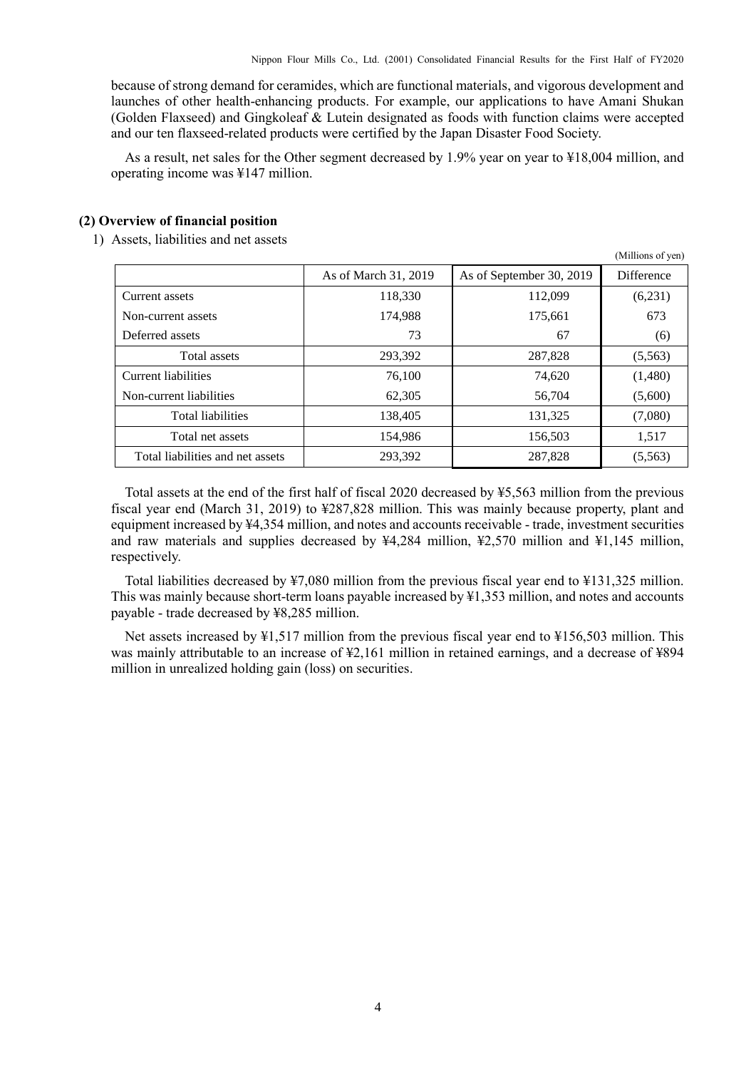because of strong demand for ceramides, which are functional materials, and vigorous development and launches of other health-enhancing products. For example, our applications to have Amani Shukan (Golden Flaxseed) and Gingkoleaf & Lutein designated as foods with function claims were accepted and our ten flaxseed-related products were certified by the Japan Disaster Food Society.

As a result, net sales for the Other segment decreased by 1.9% year on year to ¥18,004 million, and operating income was ¥147 million.

#### <span id="page-5-0"></span>**(2) Overview of financial position**

1) Assets, liabilities and net assets

|                                  |                      |                          | (Millions of yen) |
|----------------------------------|----------------------|--------------------------|-------------------|
|                                  | As of March 31, 2019 | As of September 30, 2019 | <b>Difference</b> |
| Current assets                   | 118,330              | 112,099                  | (6,231)           |
| Non-current assets               | 174.988              | 175,661                  | 673               |
| Deferred assets                  | 73                   | 67                       | (6)               |
| Total assets                     | 293,392              | 287,828                  | (5,563)           |
| Current liabilities              | 76,100               | 74,620                   | (1,480)           |
| Non-current liabilities          | 62,305               | 56,704                   | (5,600)           |
| <b>Total liabilities</b>         | 138,405              | 131,325                  | (7,080)           |
| Total net assets                 | 154,986              | 156,503                  | 1,517             |
| Total liabilities and net assets | 293,392              | 287,828                  | (5,563)           |

Total assets at the end of the first half of fiscal 2020 decreased by ¥5,563 million from the previous fiscal year end (March 31, 2019) to ¥287,828 million. This was mainly because property, plant and equipment increased by ¥4,354 million, and notes and accounts receivable - trade, investment securities and raw materials and supplies decreased by ¥4,284 million, ¥2,570 million and ¥1,145 million, respectively.

Total liabilities decreased by ¥7,080 million from the previous fiscal year end to ¥131,325 million. This was mainly because short-term loans payable increased by ¥1,353 million, and notes and accounts payable - trade decreased by ¥8,285 million.

Net assets increased by ¥1,517 million from the previous fiscal year end to ¥156,503 million. This was mainly attributable to an increase of ¥2,161 million in retained earnings, and a decrease of ¥894 million in unrealized holding gain (loss) on securities.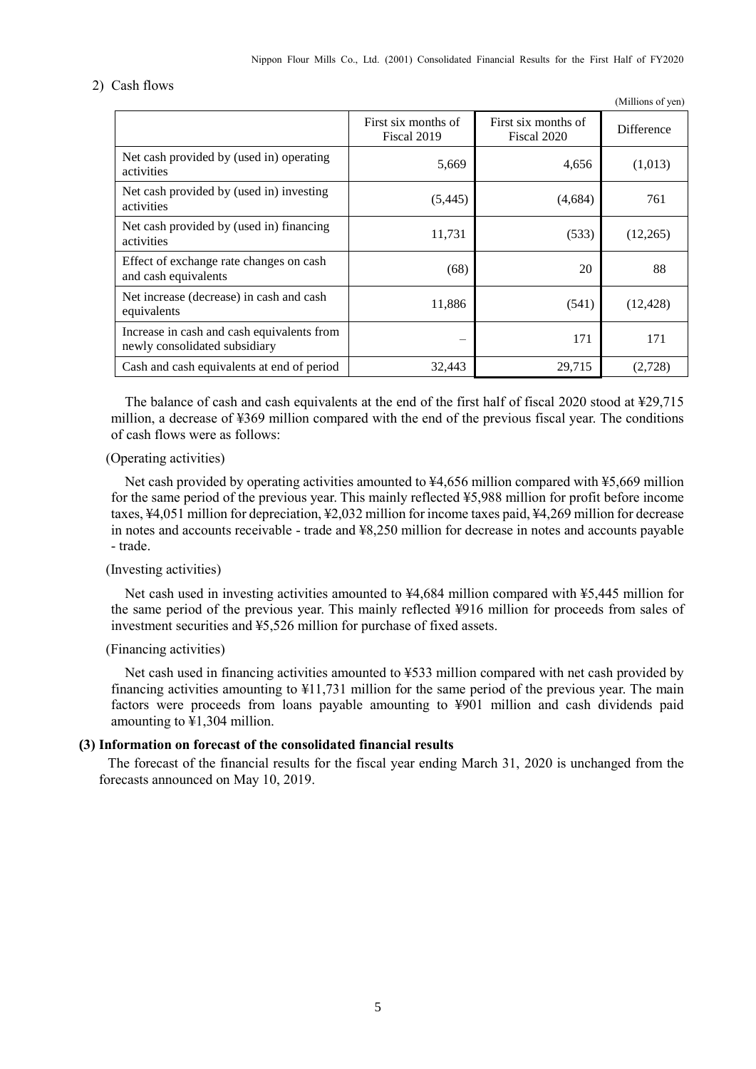#### 2) Cash flows

|                                                                             |                                    |                                    | (Millions of yen) |
|-----------------------------------------------------------------------------|------------------------------------|------------------------------------|-------------------|
|                                                                             | First six months of<br>Fiscal 2019 | First six months of<br>Fiscal 2020 | Difference        |
| Net cash provided by (used in) operating<br>activities                      | 5,669                              | 4,656                              | (1,013)           |
| Net cash provided by (used in) investing<br>activities                      | (5, 445)                           | (4,684)                            | 761               |
| Net cash provided by (used in) financing<br>activities                      | 11,731                             | (533)                              | (12,265)          |
| Effect of exchange rate changes on cash<br>and cash equivalents             | (68)                               | 20                                 | 88                |
| Net increase (decrease) in cash and cash<br>equivalents                     | 11,886                             | (541)                              | (12, 428)         |
| Increase in cash and cash equivalents from<br>newly consolidated subsidiary |                                    | 171                                | 171               |
| Cash and cash equivalents at end of period                                  | 32,443                             | 29,715                             | (2,728)           |

The balance of cash and cash equivalents at the end of the first half of fiscal 2020 stood at  $\text{\textless}29.715$ million, a decrease of ¥369 million compared with the end of the previous fiscal year. The conditions of cash flows were as follows:

#### (Operating activities)

Net cash provided by operating activities amounted to ¥4,656 million compared with ¥5,669 million for the same period of the previous year. This mainly reflected ¥5,988 million for profit before income taxes, ¥4,051 million for depreciation, ¥2,032 million for income taxes paid, ¥4,269 million for decrease in notes and accounts receivable - trade and ¥8,250 million for decrease in notes and accounts payable - trade.

#### (Investing activities)

Net cash used in investing activities amounted to ¥4,684 million compared with ¥5,445 million for the same period of the previous year. This mainly reflected ¥916 million for proceeds from sales of investment securities and ¥5,526 million for purchase of fixed assets.

#### (Financing activities)

Net cash used in financing activities amounted to ¥533 million compared with net cash provided by financing activities amounting to ¥11,731 million for the same period of the previous year. The main factors were proceeds from loans payable amounting to ¥901 million and cash dividends paid amounting to  $\frac{1}{2}1,304$  million.

#### <span id="page-6-0"></span>**(3) Information on forecast of the consolidated financial results**

The forecast of the financial results for the fiscal year ending March 31, 2020 is unchanged from the forecasts announced on May 10, 2019.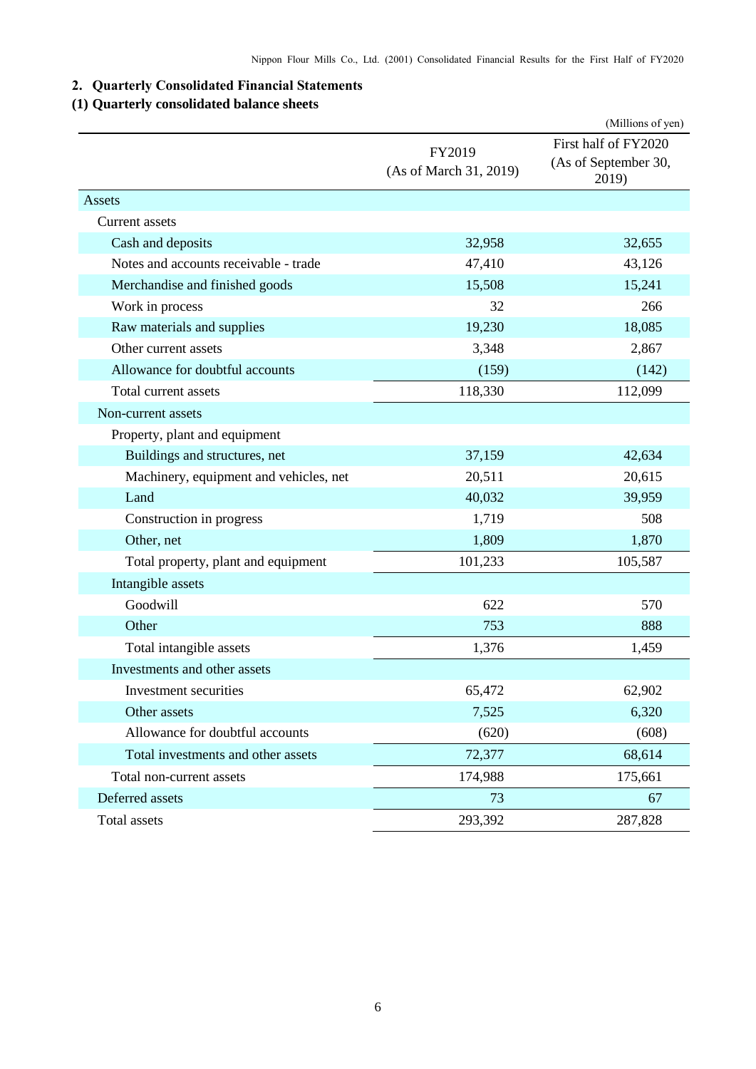## <span id="page-7-0"></span>**2. Quarterly Consolidated Financial Statements**

### <span id="page-7-1"></span>**(1) Quarterly consolidated balance sheets**

|                                        |                                  | (Millions of yen)                                     |
|----------------------------------------|----------------------------------|-------------------------------------------------------|
|                                        | FY2019<br>(As of March 31, 2019) | First half of FY2020<br>(As of September 30,<br>2019) |
| Assets                                 |                                  |                                                       |
| Current assets                         |                                  |                                                       |
| Cash and deposits                      | 32,958                           | 32,655                                                |
| Notes and accounts receivable - trade  | 47,410                           | 43,126                                                |
| Merchandise and finished goods         | 15,508                           | 15,241                                                |
| Work in process                        | 32                               | 266                                                   |
| Raw materials and supplies             | 19,230                           | 18,085                                                |
| Other current assets                   | 3,348                            | 2,867                                                 |
| Allowance for doubtful accounts        | (159)                            | (142)                                                 |
| Total current assets                   | 118,330                          | 112,099                                               |
| Non-current assets                     |                                  |                                                       |
| Property, plant and equipment          |                                  |                                                       |
| Buildings and structures, net          | 37,159                           | 42,634                                                |
| Machinery, equipment and vehicles, net | 20,511                           | 20,615                                                |
| Land                                   | 40,032                           | 39,959                                                |
| Construction in progress               | 1,719                            | 508                                                   |
| Other, net                             | 1,809                            | 1,870                                                 |
| Total property, plant and equipment    | 101,233                          | 105,587                                               |
| Intangible assets                      |                                  |                                                       |
| Goodwill                               | 622                              | 570                                                   |
| Other                                  | 753                              | 888                                                   |
| Total intangible assets                | 1,376                            | 1,459                                                 |
| Investments and other assets           |                                  |                                                       |
| Investment securities                  | 65,472                           | 62,902                                                |
| Other assets                           | 7,525                            | 6,320                                                 |
| Allowance for doubtful accounts        | (620)                            | (608)                                                 |
| Total investments and other assets     | 72,377                           | 68,614                                                |
| Total non-current assets               | 174,988                          | 175,661                                               |
| Deferred assets                        | 73                               | 67                                                    |
| Total assets                           | 293,392                          | 287,828                                               |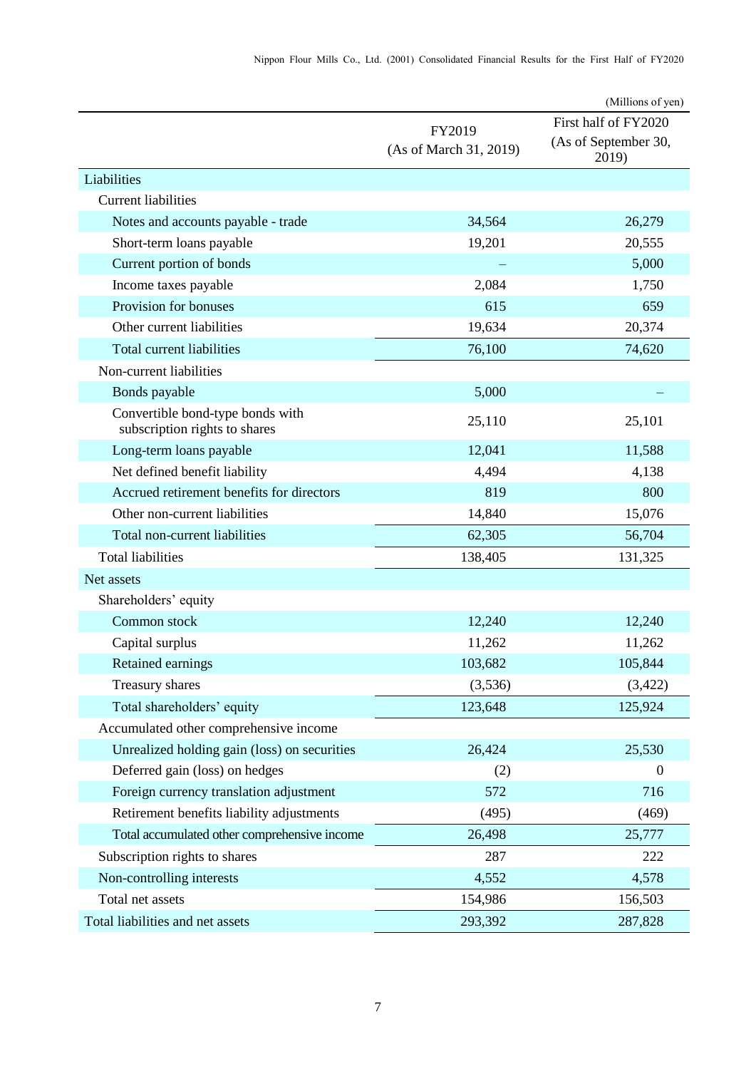|                                                                   |                                  | (Millions of yen)                                     |
|-------------------------------------------------------------------|----------------------------------|-------------------------------------------------------|
|                                                                   | FY2019<br>(As of March 31, 2019) | First half of FY2020<br>(As of September 30,<br>2019) |
| Liabilities                                                       |                                  |                                                       |
| <b>Current liabilities</b>                                        |                                  |                                                       |
| Notes and accounts payable - trade                                | 34,564                           | 26,279                                                |
| Short-term loans payable                                          | 19,201                           | 20,555                                                |
| Current portion of bonds                                          |                                  | 5,000                                                 |
| Income taxes payable                                              | 2,084                            | 1,750                                                 |
| Provision for bonuses                                             | 615                              | 659                                                   |
| Other current liabilities                                         | 19,634                           | 20,374                                                |
| Total current liabilities                                         | 76,100                           | 74,620                                                |
| Non-current liabilities                                           |                                  |                                                       |
| Bonds payable                                                     | 5,000                            |                                                       |
| Convertible bond-type bonds with<br>subscription rights to shares | 25,110                           | 25,101                                                |
| Long-term loans payable                                           | 12,041                           | 11,588                                                |
| Net defined benefit liability                                     | 4,494                            | 4,138                                                 |
| Accrued retirement benefits for directors                         | 819                              | 800                                                   |
| Other non-current liabilities                                     | 14,840                           | 15,076                                                |
| Total non-current liabilities                                     | 62,305                           | 56,704                                                |
| <b>Total liabilities</b>                                          | 138,405                          | 131,325                                               |
| Net assets                                                        |                                  |                                                       |
| Shareholders' equity                                              |                                  |                                                       |
| Common stock                                                      | 12,240                           | 12,240                                                |
| Capital surplus                                                   | 11,262                           | 11,262                                                |
| Retained earnings                                                 | 103,682                          | 105,844                                               |
| Treasury shares                                                   | (3,536)                          | (3,422)                                               |
| Total shareholders' equity                                        | 123,648                          | 125,924                                               |
| Accumulated other comprehensive income                            |                                  |                                                       |
| Unrealized holding gain (loss) on securities                      | 26,424                           | 25,530                                                |
| Deferred gain (loss) on hedges                                    | (2)                              | $\Omega$                                              |
| Foreign currency translation adjustment                           | 572                              | 716                                                   |
| Retirement benefits liability adjustments                         | (495)                            | (469)                                                 |
| Total accumulated other comprehensive income                      | 26,498                           | 25,777                                                |
| Subscription rights to shares                                     | 287                              | 222                                                   |
| Non-controlling interests                                         | 4,552                            | 4,578                                                 |
| Total net assets                                                  | 154,986                          | 156,503                                               |
| Total liabilities and net assets                                  | 293,392                          | 287,828                                               |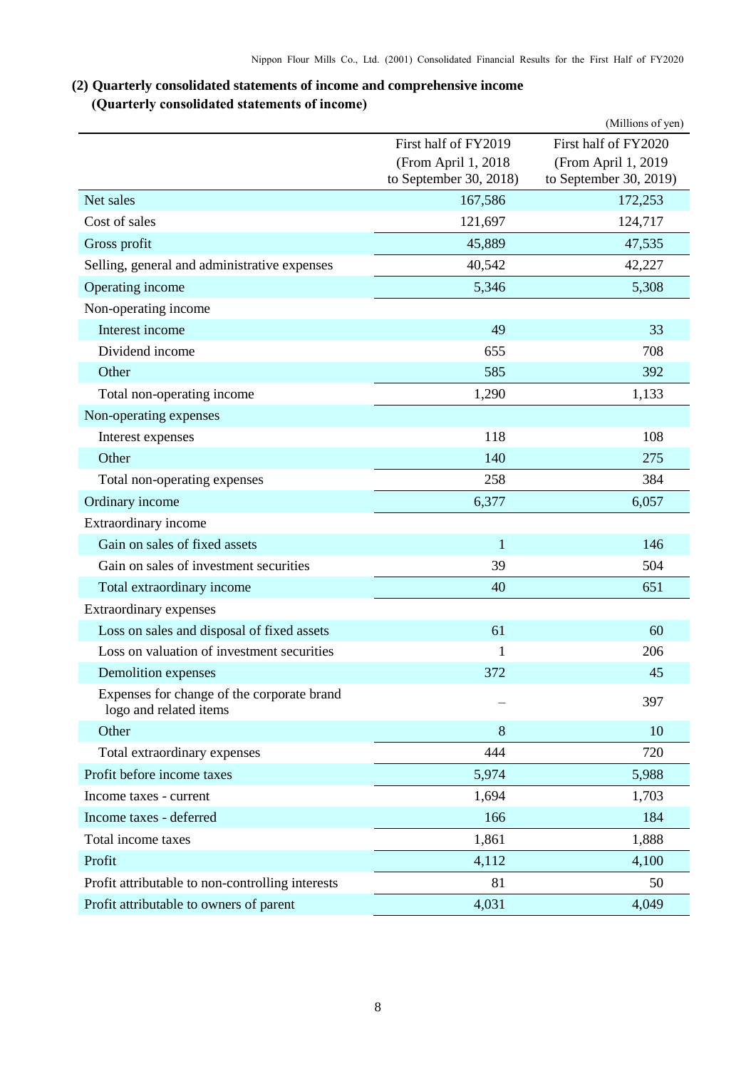### <span id="page-9-1"></span><span id="page-9-0"></span>**(2) Quarterly consolidated statements of income and comprehensive income (Quarterly consolidated statements of income)**

|                                                                      |                                               | (Millions of yen)                             |
|----------------------------------------------------------------------|-----------------------------------------------|-----------------------------------------------|
|                                                                      | First half of FY2019                          | First half of FY2020                          |
|                                                                      | (From April 1, 2018<br>to September 30, 2018) | (From April 1, 2019<br>to September 30, 2019) |
| Net sales                                                            | 167,586                                       | 172,253                                       |
| Cost of sales                                                        | 121,697                                       | 124,717                                       |
| Gross profit                                                         | 45,889                                        | 47,535                                        |
| Selling, general and administrative expenses                         | 40,542                                        | 42,227                                        |
| Operating income                                                     | 5,346                                         | 5,308                                         |
| Non-operating income                                                 |                                               |                                               |
| Interest income                                                      | 49                                            | 33                                            |
| Dividend income                                                      | 655                                           | 708                                           |
| Other                                                                | 585                                           | 392                                           |
| Total non-operating income                                           | 1,290                                         | 1,133                                         |
| Non-operating expenses                                               |                                               |                                               |
| Interest expenses                                                    | 118                                           | 108                                           |
| Other                                                                | 140                                           | 275                                           |
| Total non-operating expenses                                         | 258                                           | 384                                           |
| Ordinary income                                                      | 6,377                                         | 6,057                                         |
| Extraordinary income                                                 |                                               |                                               |
| Gain on sales of fixed assets                                        | $\mathbf{1}$                                  | 146                                           |
| Gain on sales of investment securities                               | 39                                            | 504                                           |
| Total extraordinary income                                           | 40                                            | 651                                           |
| Extraordinary expenses                                               |                                               |                                               |
| Loss on sales and disposal of fixed assets                           | 61                                            | 60                                            |
| Loss on valuation of investment securities                           | 1                                             | 206                                           |
| Demolition expenses                                                  | 372                                           | 45                                            |
| Expenses for change of the corporate brand<br>logo and related items |                                               | 397                                           |
| Other                                                                | 8                                             | 10                                            |
| Total extraordinary expenses                                         | 444                                           | 720                                           |
| Profit before income taxes                                           | 5,974                                         | 5,988                                         |
| Income taxes - current                                               | 1,694                                         | 1,703                                         |
| Income taxes - deferred                                              | 166                                           | 184                                           |
| Total income taxes                                                   | 1,861                                         | 1,888                                         |
| Profit                                                               | 4,112                                         | 4,100                                         |
| Profit attributable to non-controlling interests                     | 81                                            | 50                                            |
| Profit attributable to owners of parent                              | 4,031                                         | 4,049                                         |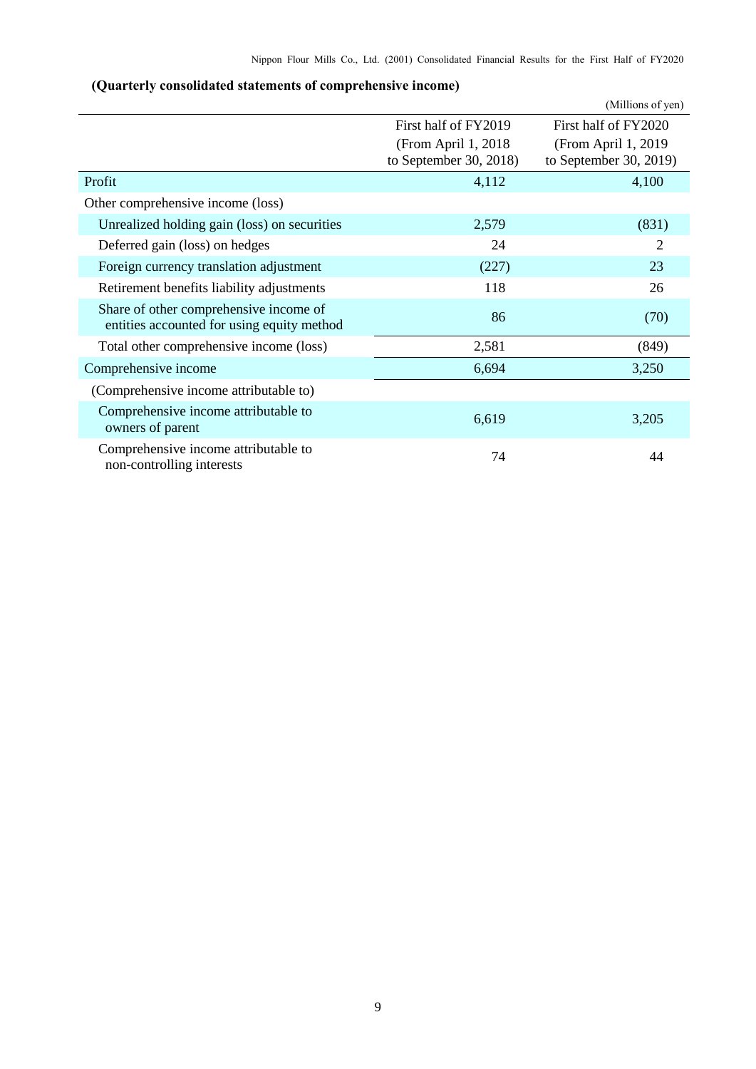|                                                                                      |                                                | (Millions of yen)                              |
|--------------------------------------------------------------------------------------|------------------------------------------------|------------------------------------------------|
|                                                                                      | First half of FY2019                           | First half of FY2020                           |
|                                                                                      | (From April 1, 2018)<br>to September 30, 2018) | (From April 1, 2019)<br>to September 30, 2019) |
| Profit                                                                               | 4,112                                          | 4,100                                          |
| Other comprehensive income (loss)                                                    |                                                |                                                |
| Unrealized holding gain (loss) on securities                                         | 2,579                                          | (831)                                          |
| Deferred gain (loss) on hedges                                                       | 24                                             | $\overline{2}$                                 |
| Foreign currency translation adjustment                                              | (227)                                          | 23                                             |
| Retirement benefits liability adjustments                                            | 118                                            | 26                                             |
| Share of other comprehensive income of<br>entities accounted for using equity method | 86                                             | (70)                                           |
| Total other comprehensive income (loss)                                              | 2,581                                          | (849)                                          |
| Comprehensive income                                                                 | 6,694                                          | 3,250                                          |
| (Comprehensive income attributable to)                                               |                                                |                                                |
| Comprehensive income attributable to<br>owners of parent                             | 6,619                                          | 3,205                                          |
| Comprehensive income attributable to<br>non-controlling interests                    | 74                                             | 44                                             |

## <span id="page-10-0"></span>**(Quarterly consolidated statements of comprehensive income)**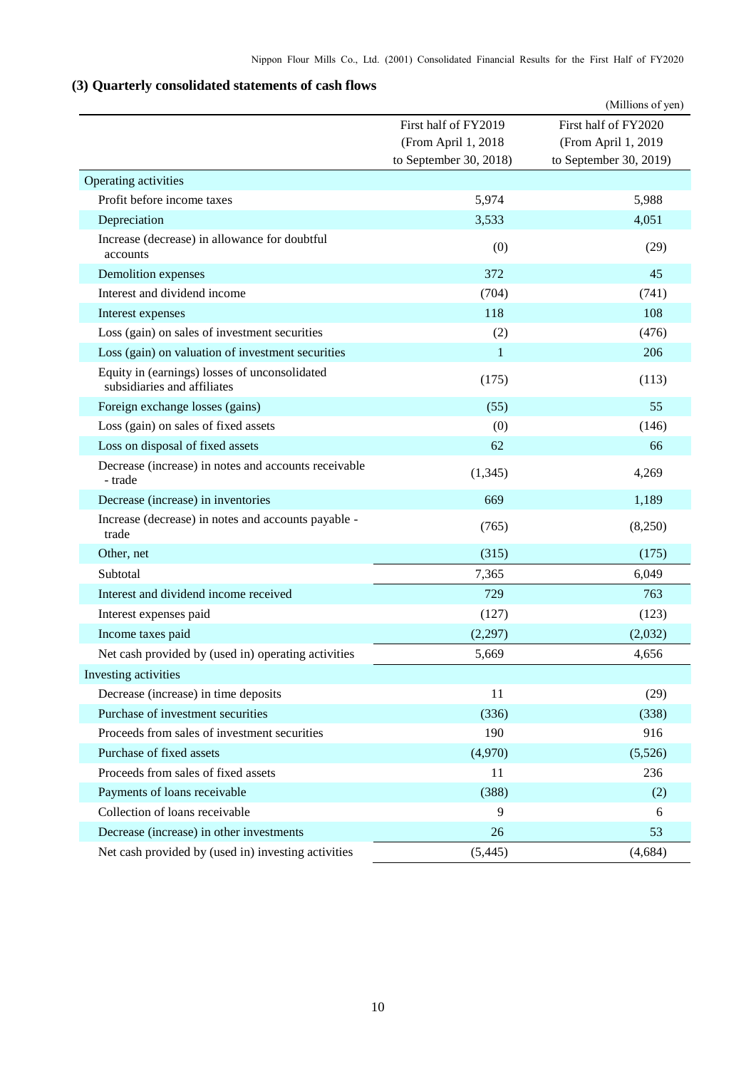## <span id="page-11-0"></span>**(3) Quarterly consolidated statements of cash flows**

|                                                                              |                                                                       | (Millions of yen)                                                     |
|------------------------------------------------------------------------------|-----------------------------------------------------------------------|-----------------------------------------------------------------------|
|                                                                              | First half of FY2019<br>(From April 1, 2018<br>to September 30, 2018) | First half of FY2020<br>(From April 1, 2019<br>to September 30, 2019) |
| Operating activities                                                         |                                                                       |                                                                       |
| Profit before income taxes                                                   | 5,974                                                                 | 5,988                                                                 |
| Depreciation                                                                 | 3,533                                                                 | 4,051                                                                 |
| Increase (decrease) in allowance for doubtful<br>accounts                    | (0)                                                                   | (29)                                                                  |
| Demolition expenses                                                          | 372                                                                   | 45                                                                    |
| Interest and dividend income                                                 | (704)                                                                 | (741)                                                                 |
| Interest expenses                                                            | 118                                                                   | 108                                                                   |
| Loss (gain) on sales of investment securities                                | (2)                                                                   | (476)                                                                 |
| Loss (gain) on valuation of investment securities                            | 1                                                                     | 206                                                                   |
| Equity in (earnings) losses of unconsolidated<br>subsidiaries and affiliates | (175)                                                                 | (113)                                                                 |
| Foreign exchange losses (gains)                                              | (55)                                                                  | 55                                                                    |
| Loss (gain) on sales of fixed assets                                         | (0)                                                                   | (146)                                                                 |
| Loss on disposal of fixed assets                                             | 62                                                                    | 66                                                                    |
| Decrease (increase) in notes and accounts receivable<br>- trade              | (1, 345)                                                              | 4,269                                                                 |
| Decrease (increase) in inventories                                           | 669                                                                   | 1,189                                                                 |
| Increase (decrease) in notes and accounts payable -<br>trade                 | (765)                                                                 | (8,250)                                                               |
| Other, net                                                                   | (315)                                                                 | (175)                                                                 |
| Subtotal                                                                     | 7,365                                                                 | 6,049                                                                 |
| Interest and dividend income received                                        | 729                                                                   | 763                                                                   |
| Interest expenses paid                                                       | (127)                                                                 | (123)                                                                 |
| Income taxes paid                                                            | (2,297)                                                               | (2,032)                                                               |
| Net cash provided by (used in) operating activities                          | 5,669                                                                 | 4,656                                                                 |
| Investing activities                                                         |                                                                       |                                                                       |
| Decrease (increase) in time deposits                                         | 11                                                                    | (29)                                                                  |
| Purchase of investment securities                                            | (336)                                                                 | (338)                                                                 |
| Proceeds from sales of investment securities                                 | 190                                                                   | 916                                                                   |
| Purchase of fixed assets                                                     | (4,970)                                                               | (5,526)                                                               |
| Proceeds from sales of fixed assets                                          | 11                                                                    | 236                                                                   |
| Payments of loans receivable                                                 | (388)                                                                 | (2)                                                                   |
| Collection of loans receivable                                               | 9                                                                     | 6                                                                     |
| Decrease (increase) in other investments                                     | 26                                                                    | 53                                                                    |
| Net cash provided by (used in) investing activities                          | (5, 445)                                                              | (4,684)                                                               |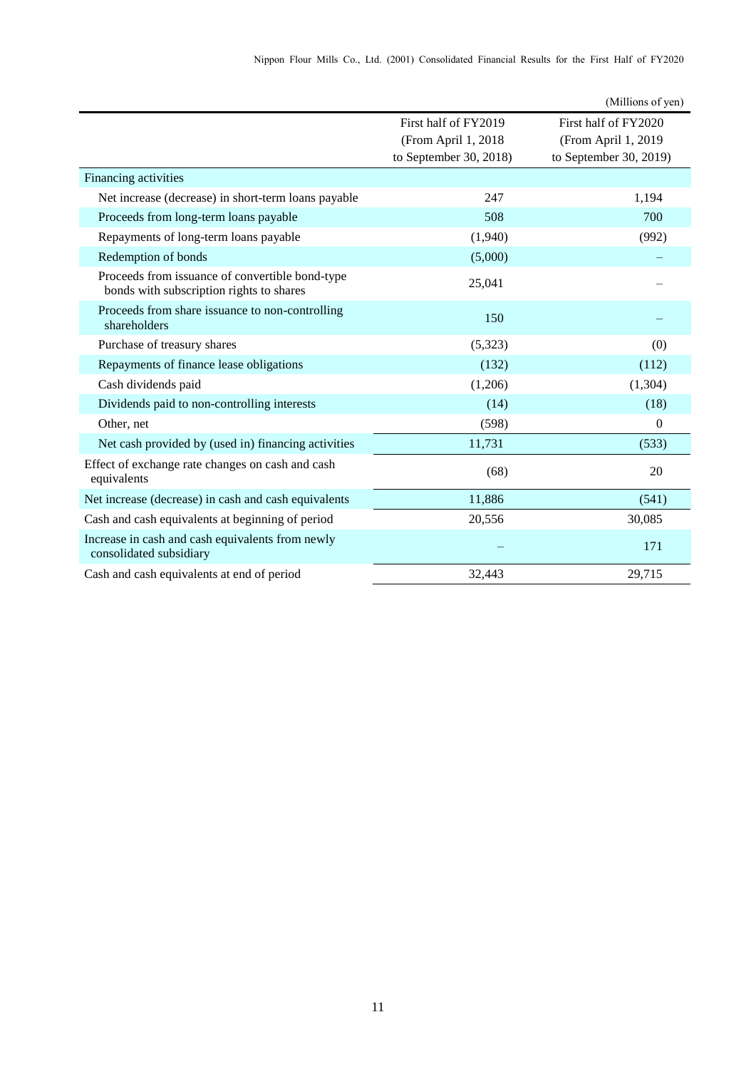|                                                                                             |                        | (Millions of yen)      |
|---------------------------------------------------------------------------------------------|------------------------|------------------------|
|                                                                                             | First half of FY2019   | First half of FY2020   |
|                                                                                             | (From April 1, 2018    | (From April 1, 2019    |
|                                                                                             | to September 30, 2018) | to September 30, 2019) |
| Financing activities                                                                        |                        |                        |
| Net increase (decrease) in short-term loans payable                                         | 247                    | 1,194                  |
| Proceeds from long-term loans payable                                                       | 508                    | 700                    |
| Repayments of long-term loans payable                                                       | (1,940)                | (992)                  |
| Redemption of bonds                                                                         | (5,000)                |                        |
| Proceeds from issuance of convertible bond-type<br>bonds with subscription rights to shares | 25,041                 |                        |
| Proceeds from share issuance to non-controlling<br>shareholders                             | 150                    |                        |
| Purchase of treasury shares                                                                 | (5,323)                | (0)                    |
| Repayments of finance lease obligations                                                     | (132)                  | (112)                  |
| Cash dividends paid                                                                         | (1,206)                | (1, 304)               |
| Dividends paid to non-controlling interests                                                 | (14)                   | (18)                   |
| Other, net                                                                                  | (598)                  | $\overline{0}$         |
| Net cash provided by (used in) financing activities                                         | 11,731                 | (533)                  |
| Effect of exchange rate changes on cash and cash<br>equivalents                             | (68)                   | 20                     |
| Net increase (decrease) in cash and cash equivalents                                        | 11,886                 | (541)                  |
| Cash and cash equivalents at beginning of period                                            | 20,556                 | 30,085                 |
| Increase in cash and cash equivalents from newly<br>consolidated subsidiary                 |                        | 171                    |
| Cash and cash equivalents at end of period                                                  | 32,443                 | 29,715                 |